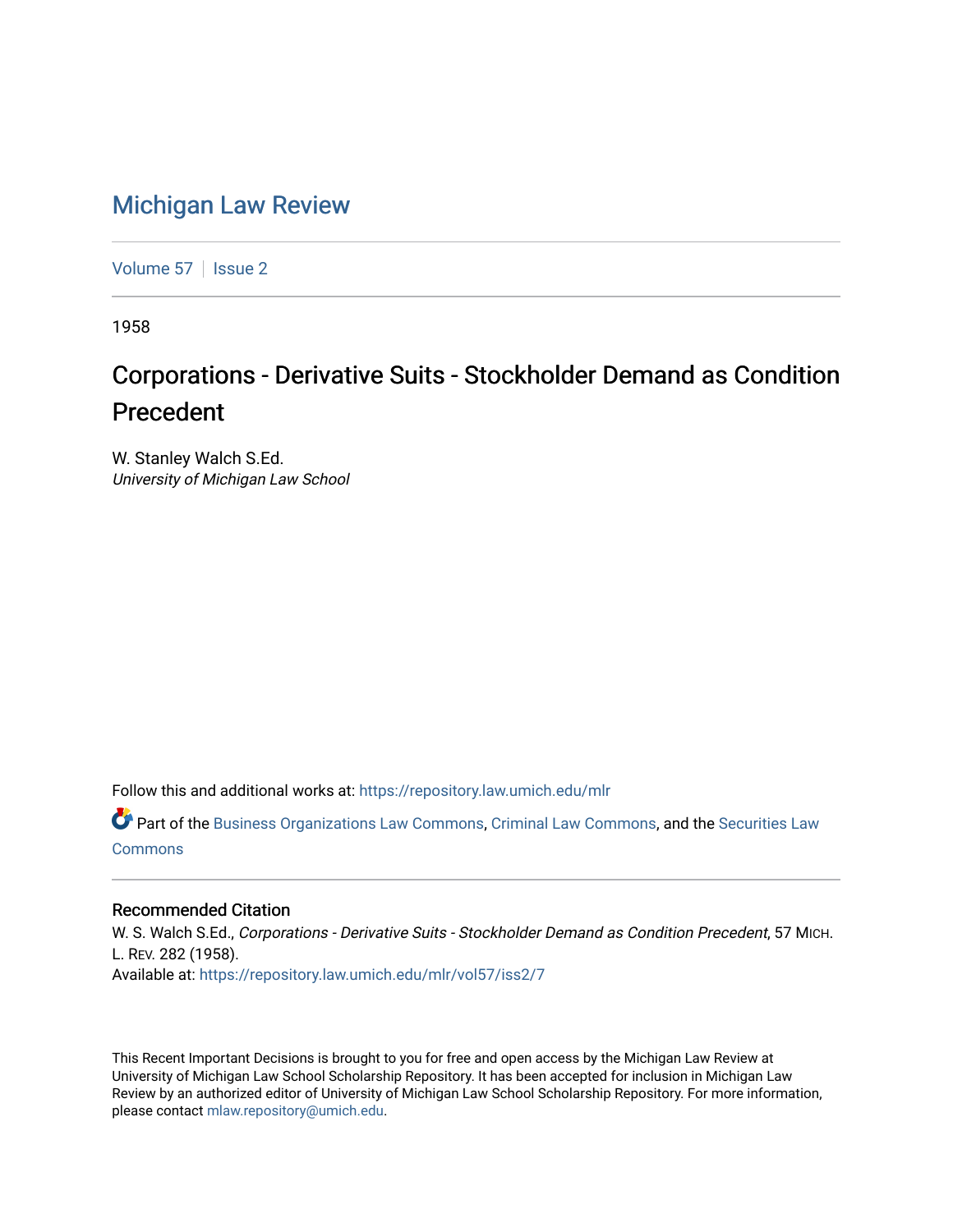## [Michigan Law Review](https://repository.law.umich.edu/mlr)

[Volume 57](https://repository.law.umich.edu/mlr/vol57) | [Issue 2](https://repository.law.umich.edu/mlr/vol57/iss2)

1958

## Corporations - Derivative Suits - Stockholder Demand as Condition Precedent

W. Stanley Walch S.Ed. University of Michigan Law School

Follow this and additional works at: [https://repository.law.umich.edu/mlr](https://repository.law.umich.edu/mlr?utm_source=repository.law.umich.edu%2Fmlr%2Fvol57%2Fiss2%2F7&utm_medium=PDF&utm_campaign=PDFCoverPages) 

Part of the [Business Organizations Law Commons](http://network.bepress.com/hgg/discipline/900?utm_source=repository.law.umich.edu%2Fmlr%2Fvol57%2Fiss2%2F7&utm_medium=PDF&utm_campaign=PDFCoverPages), [Criminal Law Commons,](http://network.bepress.com/hgg/discipline/912?utm_source=repository.law.umich.edu%2Fmlr%2Fvol57%2Fiss2%2F7&utm_medium=PDF&utm_campaign=PDFCoverPages) and the [Securities Law](http://network.bepress.com/hgg/discipline/619?utm_source=repository.law.umich.edu%2Fmlr%2Fvol57%2Fiss2%2F7&utm_medium=PDF&utm_campaign=PDFCoverPages)  [Commons](http://network.bepress.com/hgg/discipline/619?utm_source=repository.law.umich.edu%2Fmlr%2Fvol57%2Fiss2%2F7&utm_medium=PDF&utm_campaign=PDFCoverPages)

## Recommended Citation

W. S. Walch S.Ed., Corporations - Derivative Suits - Stockholder Demand as Condition Precedent, 57 MICH. L. REV. 282 (1958). Available at: [https://repository.law.umich.edu/mlr/vol57/iss2/7](https://repository.law.umich.edu/mlr/vol57/iss2/7?utm_source=repository.law.umich.edu%2Fmlr%2Fvol57%2Fiss2%2F7&utm_medium=PDF&utm_campaign=PDFCoverPages)

This Recent Important Decisions is brought to you for free and open access by the Michigan Law Review at University of Michigan Law School Scholarship Repository. It has been accepted for inclusion in Michigan Law Review by an authorized editor of University of Michigan Law School Scholarship Repository. For more information, please contact [mlaw.repository@umich.edu.](mailto:mlaw.repository@umich.edu)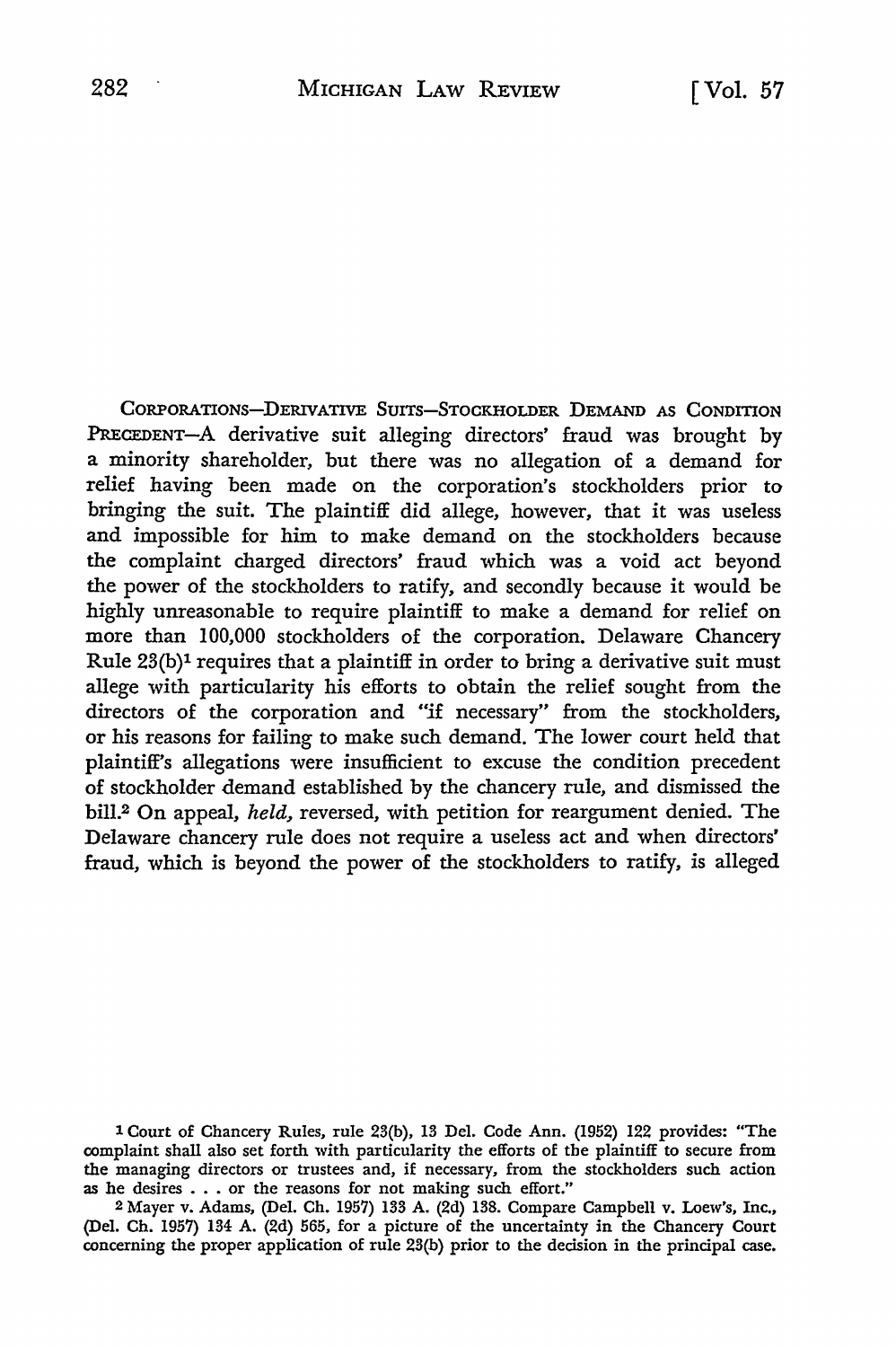CORPORATIONS-DERIVATIVE SUITS-STOCKHOLDER DEMAND AS CONDITION PRECEDENT-A derivative suit alleging directors' fraud was brought by a minority shareholder, but there was no allegation of a demand for relief having been made on the corporation's stockholders prior to bringing the suit. The plaintiff did allege, however, that it was useless and impossible for him to make demand on the stockholders because the complaint charged directors' fraud which was a void act beyond the power of the stockholders to ratify, and secondly because it would be highly unreasonable to require plaintiff to make a demand for relief on more than 100,000 stockholders of the corporation. Delaware Chancery Rule  $23(b)^1$  requires that a plaintiff in order to bring a derivative suit must allege with particularity his efforts to obtain the relief sought from the directors of the corporation and "if necessary" from the stockholders, or his reasons for failing to make such demand. The lower court held that plaintiff's allegations were insufficient to excuse the condition precedent of stockholder demand established by the chancery rule, and dismissed the bill.2 On appeal, *held,* reversed, with petition for reargument denied. The Delaware chancery rule does not require a useless act and when directors' fraud, which is beyond the power of the stockholders to ratify, is alleged

1 Court of Chancery Rules, rule 23(b), 13 Del. Code Ann. (1952) 122 provides: "The complaint shall also set forth with particularity the efforts of the plaintiff to secure from the managing directors or trustees and, if necessary, from the stockholders such action as he desires . . . or the reasons for not making such effort."

2 Mayer v. Adams, (Del. Ch. 1957) 133 A. (2d) 138. Compare Campbell v. Loew's, Inc., (Del. Ch. 1957) 134 A. (2d) 565, for a picture of the uncertainty in the Chancery Court concerning the proper application of rule 23(b) prior to the decision in the principal case.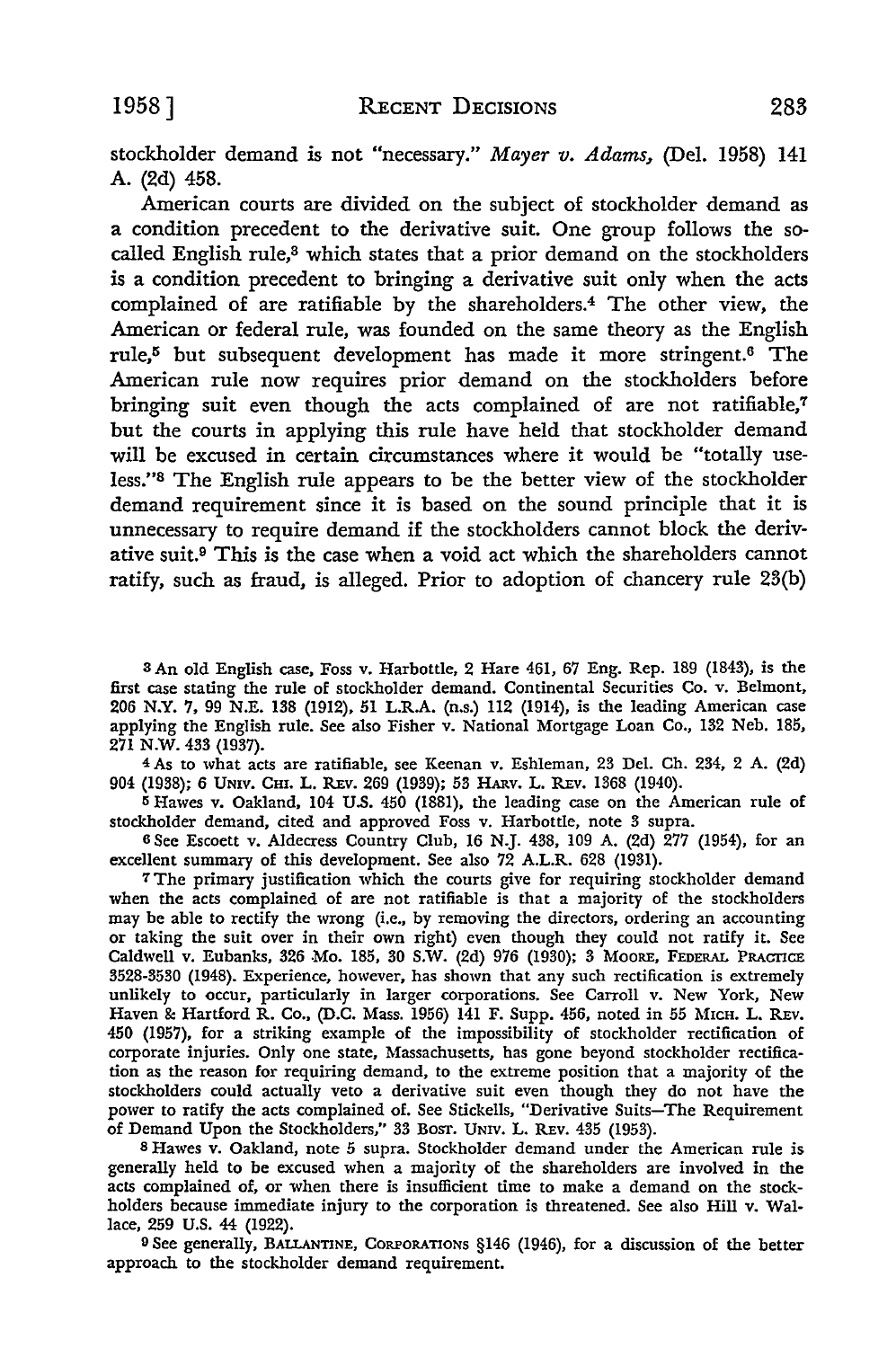stockholder demand is not "necessary." *Mayer v. Adams,* (Del. 1958) 141 A. (2d) 458.

American courts are divided on the subject of stockholder demand as a condition precedent to the derivative suit. One group follows the socalled English rule,<sup>8</sup> which states that a prior demand on the stockholders is a condition precedent to bringing a derivative suit only when the acts complained of are ratifiable by the shareholders.4 The other view, the American or federal rule, was founded on the same theory as the English rule,5 but subsequent development has made it more stringent.6 The American rule now requires prior demand on the stockholders before bringing suit even though the acts complained of are not ratifiable,7 but the courts in applying this rule have held that stockholder demand will be excused in certain circumstances where it would be "totally useless."8 The English rule appears to be the better view of the stockholder demand requirement since it is based on the sound principle that it is unnecessary to require demand if the stockholders cannot block the derivative suit.9 This is the case when a void act which the shareholders cannot ratify, such as fraud, is alleged. Prior to adoption of chancery rule 23(b)

s An old English case, Foss v. Harbottle, 2 Hare 461, 67 Eng. Rep. 189 (1843), is the first case stating the rule of stockholder demand. Continental Securities Co. v. Belmont, 206 N.Y. 7, 99 N.E. 138 (1912), 51 L.R.A. (n.s.) 112 (1914), is the leading American case applying the English rule. See also Fisher v. National Mortgage Loan Co., 132 Neb. 185, 271 N.W. 433 (1937).

4 As to what acts are ratifiable, see Keenan v. Eshleman, 23 Del. Ch. 234, 2 A. (2d) 904 (1938); 6 UNIV. CHI. L. REv. 269 (1939); 53 HARV. L. REv. 1368 (1940).

<sup>5</sup>Hawes v. Oakland, 104 U.S. 450 (1881), the leading case on the American rule of stockholder demand, cited and approved Foss v. Harbottle, note 3 supra.

<sup>6</sup>See Escoett v. Aldecress Country Club, 16 N.J. 438, 109 A. (2d) 277 (1954), for an excellent summary of this development. See also 72 A.L.R. 628 (1931).

7 The primary justification which the courts give for requiring stockholder demand when the acts complained of are not ratifiable is that a majority of the stockholders may be able to rectify the wrong (i.e., by removing the directors, ordering an accounting or taking the suit over in their own right) even though they could not ratify it. See Caldwell v. Eubanks, 326 Mo. 185, 30 S.W. (2d) 976 (1930); 3 MOORE, FEDERAL PRACTICE 3528-3530 (1948). Experience, however, has shown that any such rectification is extremely unlikely to occur, particularly in larger corporations. See Carroll v. New York, New Haven & Hartford R. Co., (D.C. Mass. 1956) 141 F. Supp. 456, noted in 55 MICH. L. REv. 450 (1957), for a striking example of the impossibility of stockholder rectification of corporate injuries. Only one state, Massachusetts, has gone beyond stockholder rectification as the reason for requiring demand, to the extreme position that a majority of the stockholders could actually veto a derivative suit even though they do not have the power to ratify the acts complained of. See Stickells, "Derivative Suits-The Requirement of Demand Upon the Stockholders," 33 BOST. UNIV. L. REv. 435 (1953).

s Hawes v. Oakland, note 5 supra. Stockholder demand under the American rule is generally held to be excused when a majority of the shareholders are involved in the acts complained of, or when there is insufficient time to make a demand on the stockholders because immediate injury to the corporation is threatened. See also Hill v. Wallace, 259 U.S. 44 (1922).

<sup>9</sup>See generally, BALLANTINE, CORPORATIONS §146 (1946), for a discussion of the better approach to the stockholder demand requirement.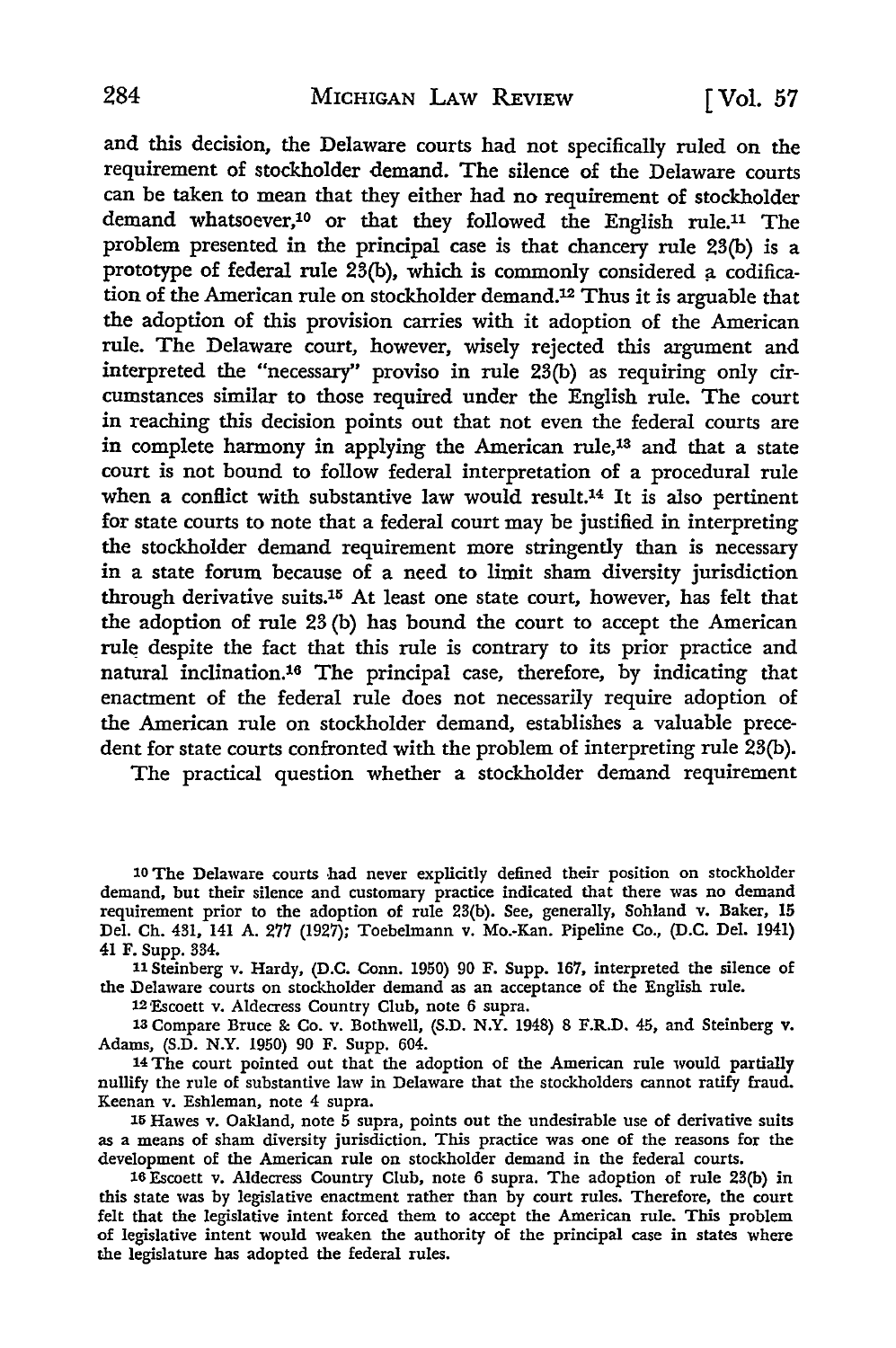and this decision, the Delaware courts had not specifically ruled on the requirement of stockholder demand. The silence of the Delaware courts can be taken to mean that they either had no requirement of stockholder demand whatsoever,10 or that they followed the English rule.11 The problem presented in the principal case is that chancery rule 23(b) is a prototype of federal rule  $23(b)$ , which is commonly considered a codification of the American rule on stockholder demand.12 Thus it is arguable that the adoption of this provision carries with it adoption of the American rule. The Delaware court, however, wisely rejected this argument and interpreted the "necessary" proviso in rule 23(b) as requiring only circumstances similar to those required under the English rule. The court in reaching this decision points out that not even the federal courts are in complete harmony in applying the American rule,<sup>13</sup> and that a state court is not bound to follow federal interpretation of a procedural rule when a conflict with substantive law would result.<sup>14</sup> It is also pertinent for state courts to note that a federal court may be justified in interpreting the stockholder demand requirement more stringently than is necessary in a state forum because of a need to limit sham diversity jurisdiction through derivative suits.15 At least one state court, however, has felt that the adoption of rule 23 (b) has bound the court to accept the American rule despite the fact that this rule is contrary to its prior practice and natural inclination.16 The principal case, therefore, by indicating that enactment of the federal rule does not necessarily require adoption of the American rule on stockholder demand, establishes a valuable precedent for state courts confronted with the problem of interpreting rule 23(b).

The practical question whether a stockholder demand requirement

11 Steinberg v. Hardy, (D.C. Conn. 1950) 90 F. Supp. 167, interpreted the silence of the Delaware courts on stockholder demand as an acceptance of the English rule.

12'Escoett v. Aldecress Country Club, note 6 supra.

13 Compare Bruce &: Co. v. Bothwell, (S.D. N.Y. 1948) 8 F.R.D. 45, and Steinberg v. Adams, (S.D. N.Y. 1950) 90 F. Supp. 604.

14 The court pointed out that the adoption of the American rule would partially nullify the rule of substantive law in Delaware that the stockholders cannot ratify fraud. Keenan v. Eshleman, note 4 supra.

15 Hawes v. Oakland, note 5 supra, points out the undesirable use of derivative suits as a means of sham diversity jurisdiction. This practice was one of the reasons for the development of the American rule on stockholder demand in the federal courts.

16 Escoett v. Aldecress Country Club, note 6 supra. The adoption of rule 23(b) in this state was by legislative enactment rather than by court rules. Therefore, the court felt that the legislative intent forced them to accept the American rule. This problem of legislative intent would weaken the authority of the principal case in states where the legislature has adopted the federal rules.

<sup>10</sup> The Delaware courts had never explicitly defined their position on stockholder demand, but their silence and customary practice indicated that there was no demand requirement prior to the adoption of rule 23(b). See, generally, Sohland v. Baker, 15 Del. Ch. 431, 141 A. 277 (1927); Toebelmann v. Mo.-Kan. Pipeline Co., (D.C. Del. 1941) 41 F. Supp. 334.